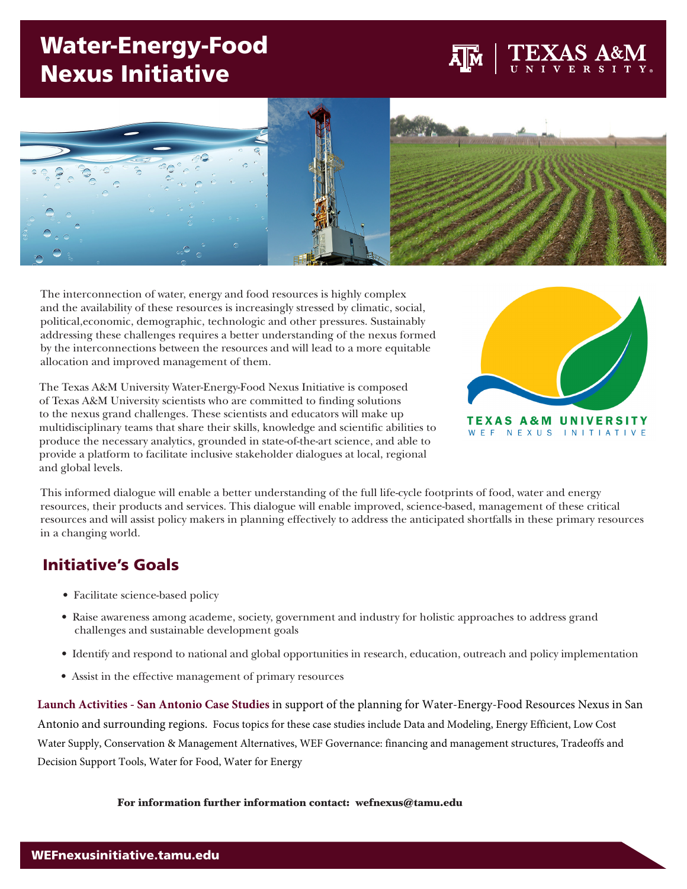# Water-Energy-Food Nexus Initiative



The interconnection of water, energy and food resources is highly complex and the availability of these resources is increasingly stressed by climatic, social, political,economic, demographic, technologic and other pressures. Sustainably addressing these challenges requires a better understanding of the nexus formed by the interconnections between the resources and will lead to a more equitable allocation and improved management of them.

The Texas A&M University Water-Energy-Food Nexus Initiative is composed of Texas A&M University scientists who are committed to finding solutions to the nexus grand challenges. These scientists and educators will make up multidisciplinary teams that share their skills, knowledge and scientific abilities to produce the necessary analytics, grounded in state-of-the-art science, and able to provide a platform to facilitate inclusive stakeholder dialogues at local, regional and global levels.



This informed dialogue will enable a better understanding of the full life-cycle footprints of food, water and energy resources, their products and services. This dialogue will enable improved, science-based, management of these critical resources and will assist policy makers in planning effectively to address the anticipated shortfalls in these primary resources in a changing world.

## Initiative's Goals

- Facilitate science-based policy
- Raise awareness among academe, society, government and industry for holistic approaches to address grand challenges and sustainable development goals
- Identify and respond to national and global opportunities in research, education, outreach and policy implementation
- Assist in the effective management of primary resources

**Launch Activities - San Antonio Case Studies** in support of the planning for Water-Energy-Food Resources Nexus in San Antonio and surrounding regions. Focus topics for these case studies include Data and Modeling, Energy Efficient, Low Cost Water Supply, Conservation & Management Alternatives, WEF Governance: financing and management structures, Tradeoffs and Decision Support Tools, Water for Food, Water for Energy

For information further information contact: wefnexus@tamu.edu